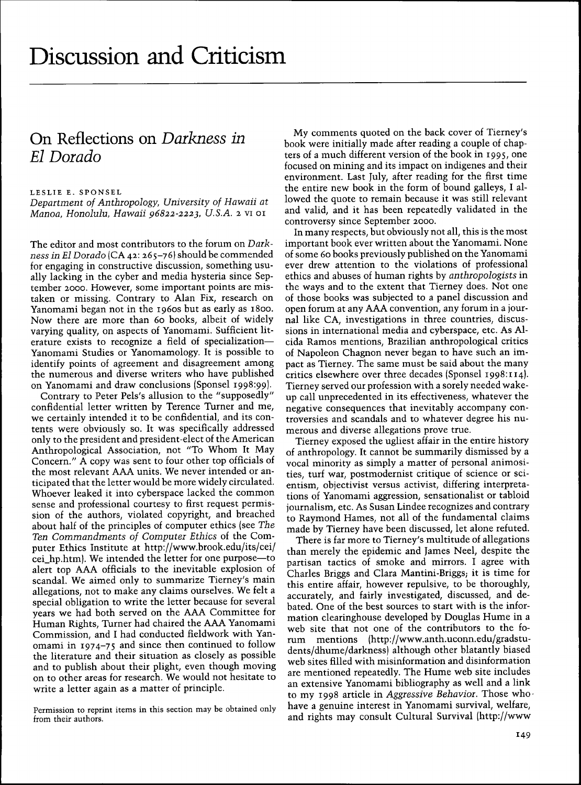# On Reflections on *Darkness in El Dorado*

#### LESLIE E. SPONSEL

*Department of Anthropology, University of Hawaii at Manoa, Honolulu, Hawaii 96822-2223, U.S.A. 1* vi 01

The editor and most contributors to the forum on *Darkness in El Dorado* (CA 42: 265-76) should he commended for engaging in constructive discussion, something usually lacking in the cyher and media hysteria since September 2000. However, some important points are mistaken or missing. Contrary to Alan Fix, research on Yanomami hegan not in the 1960s hut as early as 1800. Now there are more than 60 books, alheit of widely varying quality, on aspects of Yanomami. Sufficient literature exists to recognize a field of specialization— Yanomami Studies or Yanomamology. It is possihle to identify points of agreement and disagreement among the numerous and diverse writers who have puhlished on Yanomami and draw conclusions (Sponsel 1998:99).

Contrary to Peter Pels's allusion to the "supposedly" confidential letter written hy Terence Turner and me, we certainly intended it to he confidential, and its contents were ohviously so. It was specifically addressed only to the president and president-elect of the American Anthropological Association, not "To Whom It May Concern." A copy was sent to four other top officials of the most relevant AAA units. We never intended or anticipated that the letter would be more widely circulated. Whoever leaked it into cyherspace lacked the common sense and professional courtesy to first request permission of the authors, violated copyright, and breached ahout half of the principles of computer ethics (see *The Ten Commandments of Computer Ethics* of the Computer Ethics Institute at http://www.brook.edu/its/cei/ cei\_hp.htm). We intended the letter for one purpose—to alert top AAA officials to the inevitahle explosion of scandal. We aimed only to summarize Tierney's main allegations, not to make any claims ourselves. We felt a special ohligation to write the letter because for several years we had both served on the AAA Committee for Human Rights, Turner had chaired the AAA Yanomami Commission, and I had conducted fieldwork with Yan-Commission, and I had conducted neidwork with  $I$ an $t_{\text{t}}$  omami in 1974–75 and since then continued to follow the literature and their situation as closely as possible and to publish about their plight, even though moving on to other areas for research. We would not hesitate to write a letter again as a matter of principle.

Permission to reprint items in this section may be obtained only from their authors.

My comments quoted on the back cover of Tierney's book were initially made after reading a couple of chapters of a much different version of the book in 1995, one focused on mining and its impact on indigenes and their environment. Last July, after reading for the first time the entire new hook in the form of hound galleys, I allowed the quote to remain because it was still relevant and valid, and it has heen repeatedly validated in the controversy since Septemher 2000.

In many respects, hut ohviously not all, this is the most important hook ever written about the Yanomami. None of some 60 hooks previously puhlished on the Yanomami ever drew attention to the violations of professional ethics and abuses of human rights by *anthropologists* in the ways and to the extent that Tierney does. Not one of those hooks was suhjected to a panel discussion and open forum at any AAA convention, any forum in a journal like CA, investigations in three countries, discussions in international media and cyherspace, etc. As Alcida Ramos mentions, Brazilian anthropological critics of Napoleon Chagnon never hegan to have such an impact as Tierney. The same must be said about the many critics elsewhere over three decades (Sponsel 1998:114). Tierney served our profession with a sorely needed wakeup call unprecedented in its effectiveness, whatever the negative consequences that inevitahly accompany controversies and scandals and to whatever degree his numerous and diverse allegations prove true.

Tierney exposed the ugliest affair in the entire history of anthropology. It cannot he summarily dismissed hy a vocal minority as simply a matter of personal animosities, turf war, postmodernist critique of science or scientism, objectivist versus activist, differing interpretations of Yanomami aggression, sensationalist or tabloid journalism, etc. As Susan Lindee recognizes and contrary to Raymond Hames, not all of the fundamental claims made hy Tierney have been discussed, let alone refuted.

There is far more to Tierney's multitude of allegations than merely the epidemic and James Neel, despite the partisan tactics of smoke and mirrors. I agree with Charles Briggs and Clara Mantini-Briggs; it is time for this entire affair, however repulsive, to he thoroughly, accurately, and fairly investigated, discussed, and dehated. One of the best sources to start with is the information clearinghouse developed by Douglas Hume in a web site that not one of the contrihutors to the forum mentions (http://www.anth.uconn.edu/gradstudents/dhume/darkness) although other blatantly biased web sites filled with misinformation and disinformation are mentioned repeatedly. The Hume web site includes an extensive Yanomami bibliography as well and a link to my 1998 article in *Aggressive Behavior.* Those whohave a genuine interest in Yanomami survival, welfare, and rights may consult Cultural Survival (http://www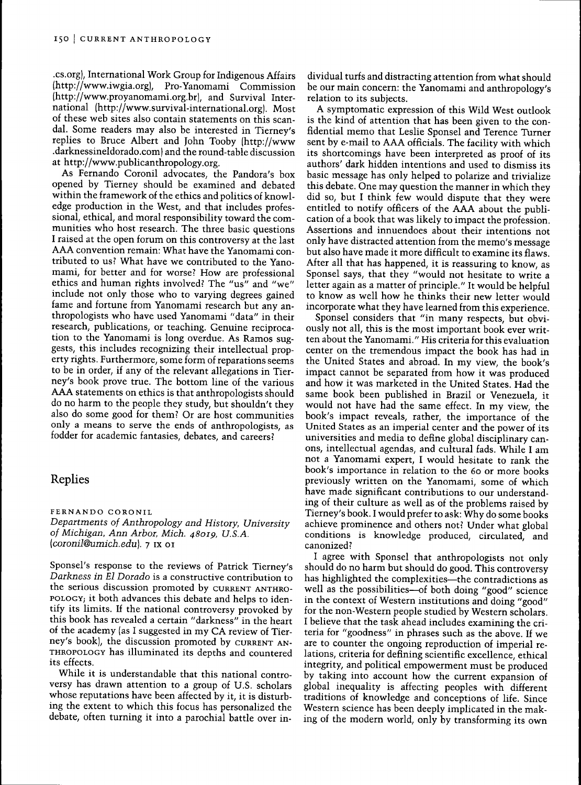.cs.org). International Work Group for Indigenous Affairs (http://www.iwgia.org), Pro-Yanomami Commission (http://www.proyanomami.org.br), and Survival International (http://www.survival-international.org). Most of these web sites also contain statements on this scandal. Some readers may also be interested in Tierney's replies to Bruce Albert and John Tooby (http://www .darknessineldorado.com) and the round-table discussion at http://www.publicanthropology.org.

As Fernando Coronil advocates, the Pandora's box opened by Tierney should be examined and debated within the framework of the ethics and politics of knowledge production in the West, and that includes professional, ethical, and moral responsibility toward the communities who host research. The three basic questions I raised at the open forum on this controversy at the last AAA convention remain: What have the Yanomami contributed to us? What have we contributed to the Yanomami, for better and for worse? How are professional ethics and human rights involved? The "us" and "we" include not only those who to varying degrees gained fame and fortune from Yanomami research but any anthropologists who have used Yanomami "data" in their research, publications, or teaching. Genuine reciprocation to the Yanomami is long overdue. As Ramos suggests, this includes recognizing their intellectual property rights. Furthermore, some form of reparations seems to be in order, if any of the relevant allegations in Tierney's book prove true. The bottom line of the various AAA statements on ethics is that anthropologists should do no harm to the people they study, but shouldn't they also do some good for them? Or are host communities only a means to serve the ends of anthropologists, as fodder for academic fantasies, debates, and careers?

### Replies

FERNANDO CORONIL *Departments of Anthropology and History, University of Michigan, Ann Arbor, Mich. 48019, U.S.A. {coronil@umich.edu).* 7 ix 01

Sponsel's response to the reviews of Patrick Tierney's *Darkness in El Dorado* is a constructive contribution to the serious discussion promoted by CURRENT ANTHRO-POLOGY; it both advances this debate and helps to identify its limits. If the national controversy provoked by this book has revealed a certain "darkness" in the heart of the academy (as I suggested in my CA review of Tierney's book), the discussion promoted by CURRENT AN-THROPOLOGY has illuminated its depths and countered its effects.

While it is understandable that this national controversy has drawn attention to a group of U.S. scholars whose reputations have been affected by it, it is disturbing the extent to which this focus has personalized the debate, often turning it into a parochial battle over in-

dividual turfs and distracting attention from what should be our main concern: the Yanomami and anthropology's relation to its subjects.

A symptomatic expression of this Wild West outlook is the kind of attention that has been given to the confidential memo that Leslie Sponsel and Terence Turner sent by e-mail to AAA officials. The facility with which its shortcomings have been interpreted as proof of its authors' dark hidden intentions and used to dismiss its basic message has only helped to polarize and trivialize this debate. One may question the manner in which they did so, but I think few would dispute that they were entitled to notify officers of the AAA about the publication of a book that was likely to impact the profession. Assertions and innuendoes about their intentions not only have distracted attention from the memo's message but also have made it more difficult to examine its fiaws. After all that has happened, it is reassuring to know, as Sponsel says, that they "would not hesitate to write a letter again as a matter of principle." It would be helpful to know as well how he thinks their new letter would incorporate what they have learned from this experience.

Sponsel considers that "in many respects, but obviously not all, this is the most important book ever written about the Yanomami." His criteria for this evaluation center on the tremendous impact the book has had in the United States and abroad. In my view, the book's impact cannot be separated from how it was produced and how it was marketed in the United States. Had the same book been published in Brazil or Venezuela, it would not have had the same effect. In my view, the book's impact reveals, rather, the importance of the United States as an imperial center and the power of its universities and media to define global disciplinary canons, intellectual agendas, and cultural fads. While I am not a Yanomami expert, I would hesitate to rank the book's importance in relation to the 60 or more books previously written on the Yanomami, some of which have made significant contributions to our understanding of their culture as well as of the problems raised by Tierney's book. I would prefer to ask: Why do some books achieve prominence and others not? Under what global conditions is knowledge produced, circulated, and canonized?

I agree with Sponsel that anthropologists not only should do no harm but should do good. This controversy has highlighted the complexities—the contradictions as well as the possibilities—of both doing "good" science in the context of Western institutions and doing "good" for the non-Western people studied by Western scholars. I believe that the task ahead includes examining the criteria for "goodness" in phrases such as the above. If we are to counter the ongoing reproduction of imperial relations, criteria for defining scientific excellence, ethical integrity, and political empowerment must be produced by taking into account how the current expansion of giobal inequality is affecting peoples with different traditions of knowledge and conceptions of life. Since Western science has been deeply implicated in the making of the modern world, only by transforming its own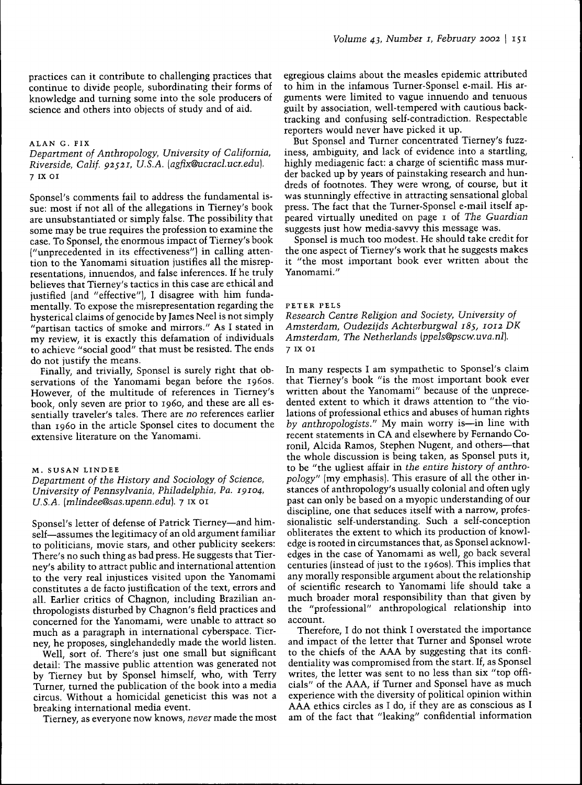practices can it contribute to challenging practices that continue to divide people, subordinating their forms of knowledge and turning some into the sole producers of science and others into objects of study and of aid.

ALAN G. FIX

*Department of Anthropology, University of California, Riverside, Calif. 92521, U.S.A. {agfix@ucracl.ucr.edu].* 7 IX 01

Sponsel's comments fail to address the fundamental issue: most if not all of the allegations in Tierney's book are unsubstantiated or simply false. The possibility that some may be true requires the profession to examine the case. To Sponsel, the enormous impact of Tierney's book ("unprecedented in its effectiveness") in calling attention to the Yanomami situation justifies all the misrepresentations, innuendos, and false inferences. If he truly believes that Tierney's tactics in this case are ethical and justified (and "effective"), I disagree with him fundamentally. To expose the misrepresentation regarding the hysterical claims of genocide by James Neel is not simply "partisan tactics of smoke and mirrors." As I stated in my review, it is exactly this defamation of individuals to achieve "social good" that must be resisted. The ends do not justify the means.

Finally, and trivially, Sponsel is surely right that observations of the Yanomami began before the 1960s. However, of the multitude of references in Tierney's book, only seven are prior to i960, and these are all essentially traveler's tales. There are *no* references earlier than i960 in the article Sponsel cites to document the extensive literature on the Yanomami.

#### M. SUSAN LINDEE

*Department of the History and Sociology of Science, University of Pennsylvania, Philadelphia, Pa. rpiO4, U.S.A. {mlindee@sas.upenn.edu]. 7* ix 01

Sponsel's letter of defense of Patrick Tierney—and himself—assumes the legitimacy of an old argument familiar to politicians, movie stars, and other publicity seekers: There's no such thing as bad press. He suggests that Tierney's ability to attract public and international attention to the very real injustices visited upon the Yanomami constitutes a de facto justification of the text, errors and all. Earlier critics of Chagnon, including Brazilian anthropologists disturbed by Chagnon's field practices and concerned for the Yanomami, were unable to attract so much as a paragraph in international cyberspace. Tierney, he proposes, singlehandedly made the world listen.

Well, sort of. There's just one small but significant detail: The massive public attention was generated not by Tierney but by Sponsel himself, who, with Terry Turner, turned the publication of the book into a media circus. Without a homicidal geneticist this was not a breaking international media event.

Tierney, as everyone now knows, *never* made the most

egregious claims about the measles epidemic attributed to him in the infamous Turner-Sponsel e-mail. His arguments were limited to vague innuendo and tenuous guilt by association, well-tempered with cautious backtracking and confusing self-contradiction. Respectable reporters would never have picked it up.

But Sponsel and Turner concentrated Tierney's fuzziness, ambiguity, and lack of evidence into a startling, highly mediagenic fact: a charge of scientific mass murder backed up by years of painstaking research and hundreds of footnotes. They were wrong, of course, but it was stunningly effective in attracting sensational global press. The fact that the Turner-Sponsel e-mail itself appeared virtually unedited on page i of *The Guardian* suggests just how media-savvy this message was.

Sponsel is much too modest. He should take credit for the one aspect of Tierney's work that he suggests makes it "the most important book ever written about the Yanomami."

#### PETER PELS

*Research Centre Religion and Society, University of Amsterdam, Oudezijds Achterburgwal i8s, roi2 DK Amsterdam, The Netherlands {ppels@pscw.uva.nl].* 7 IX 01

In many respects I am sympathetic to Sponsel's claim that Tierney's book "is the most important book ever written about the Yanomami" because of the unprecedented extent to which it draws attention to "the violations of professional ethics and abuses of human rights *by anthropologists."* My main worry is—in line with recent statements in CA and elsewhere by Fernando Coronil, Alcida Ramos, Stephen Nugent, and others—that the whole discussion is being taken, as Sponsel puts it, to be "the ugliest affair in *the entire history of anthropology"* (my emphasis). This erasure of all the other instances of anthropology's usually colonial and often ugly past can only be based on a myopic understanding of our discipline, one that seduces itself with a narrow, professionalistic self-understanding. Such a self-conception obliterates the extent to which its production of knowledge is rooted in circumstances that, as Sponsel acknowledges in the case of Yanomami as well, go back several centuries (instead of just to the 1960s). This implies that any morally responsible argument about the relationship of scientific research to Yanomami life should take a much broader moral responsibility than that given by the "professional" anthropological relationship into account.

Therefore, I do not think I overstated the importance and impact of the letter that Turner and Sponsel wrote to the chiefs of the AAA by suggesting that its confidentiality was compromised from the start. If, as Sponsel writes, the letter was sent to no less than six "top officials" of the AAA, if Turner and Sponsel have as much experience with the diversity of political opinion within AAA ethics circles as I do, if they are as conscious as I am of the fact that "leaking" confidential information